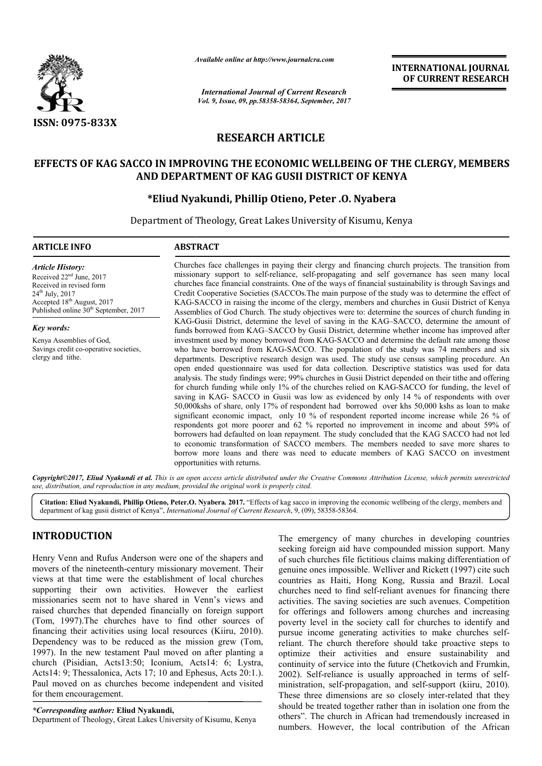

*Available online at http://www.journalcra.com*

*International Journal of Current Research Vol. 9, Issue, 09, pp.58358-58364, September, 2017* **INTERNATIONAL JOURNAL OF CURRENT RESEARCH**

# **RESEARCH ARTICLE**

# **EFFECTS OF KAG SACCO IN IMPROVING THE ECONOMIC WELLBEING OF THE CLERGY, MEMBERS SACCO IN IMPROVING DEPARTMENT OF AND DEPARTMENT OF KAG GUSII DISTRICT OF KENYA**

# **\*Eliud Nyakundi, Phillip Otieno, Peter .O. Eliud Nyabera**

Department of Theology, Great Lakes University of Kisumu, Kenya

# **ARTICLE INFO ABSTRACT**

*Article History:* Received 22<sup>nd</sup> June, 2017 Received in revised form 24<sup>th</sup> July, 2017 Accepted 18<sup>th</sup> August, 2017 Published online 30<sup>th</sup> September, 2017

*Key words:* Kenya Assemblies of God,

Savings credit co-operative societies, clergy and tithe.

Churches face challenges in paying their clergy and financing church projects. The transition from missionary support to self self-reliance, self-propagating and self governance has seen many local churches face financial constraints. One of the ways of financial sustainability is through Savings and Credit Cooperative Societies (SACCOs.The main purpose of the study was to determine the effect of KAG-SACCO in raising the income of the clergy, members and churches in Gusii District of Kenya Assemblies of God Church. The study objectives were to: determine the sources of church funding in KAG-Gusii District, determine the level of saving in the KAGfunds borrowed from KAG-SACCO by Gusii District, determine whether income has improved after investment used by money borrowed from KAG KAG-SACCO and determine the default rate among those who have borrowed from KAG-SACCO. The population of the departments. Descriptive research design was used. The study use census sampling procedure. An open ended questionnaire was used for data collection. Descriptive statistics was used for data analysis. The study findings were; 99% churches in Gusii District depended on their tithe and offering for church funding while only 1% of the churches relied on KAG-SACCO for funding, the level of saving in KAG- SACCO in Gusii was low as evidenced by only 14 % of respondents with over 50,000kshs of share, only 17% of respondent had borrowed over khs 50,000 kshs as loan to make significant economic impact, only 10 % of respondent reported income increase while 26 % of saving in KAG- SACCO in Gusii was low as evidenced by only 14 % of respondents with over 50,000kshs of share, only 17% of respondent had borrowed over khs 50,000 kshs as loan to make significant economic impact, only 10 % borrowers had defaulted on loan repayment. The study concluded that the KAG SACCO had not led to economic transformation of SACCO members. The members needed to save more shares to borrowers had defaulted on loan repayment. The study concluded that the KAG SACCO had not led<br>to economic transformation of SACCO members. The members needed to save more shares to<br>borrow more loans and there was need to e opportunities with returns. Churches face challenges in paying their clergy and financing church projects. The transition from missionary support to self-reliance, self-propagating and self governance has seen many local churches face financial const SACCO by Gusii District, determine whether income has improved after orrowed from KAG-SACCO and determine the default rate among those KAG-SACCO. The population of the study was 74 members and six departments. Descriptive research design was used. The study use census sampling procedure. An open ended questionnaire was used for data collection. Descriptive statistics was used for data analysis. The study findings we INTERNATIONAL JOURNAL<br> **Exercere Solution CONSTRATE CONSTRATE CONSTRATE CONSTRANCE CONSTRATE CONSTRANCE CONSTRATE CONSTRANCE CONSTRANCE CONSTRANCE CONSTRANCE CONSTRANCE CONSTRANCE CONSTRANCE CONSTRANCE CONSTRANCE CONSTRANC** 

Copyright©2017, Eliud Nyakundi et al. This is an open access article distributed under the Creative Commons Attribution License, which permits unrestricted *use, distribution, and reproduction in any medium, provided the original work is properly cited.*

Citation: Eliud Nyakundi, Phillip Otieno, Peter.O. Nyabera. 2017. "Effects of kag sacco in improving the economic wellbeing of the clergy, members and department of kag gusii district of Kenya", *International Journal of Current Research* , 9, (09), 58358-58364.

# **INTRODUCTION**

Henry Venn and Rufus Anderson were one of the shapers and movers of the nineteenth-century missionary movement. Their views at that time were the establishment of local churches supporting their own activities. However the earliest missionaries seem not to have shared in Venn's views and raised churches that depended financially on foreign support (Tom, 1997).The churches have to find other sources of financing their activities using local resources (Kiiru, 2010). Dependency was to be reduced as the mission grew (Tom, 1997). In the new testament Paul moved on after planting a church (Pisidian, Acts13:50; Iconium, Acts14: 6; Lys Lystra, Acts14: 9; Thessalonica, Acts 17; 10 and Ephesus, Acts 20:1.). Paul moved on as churches become independent and visited for them encouragement. century missionary movement. Their<br>the establishment of local churches<br>activities. However the earliest<br>b have shared in Venn's views and<br>ended financially on foreign support<br>nes have to find other sources of<br>using local r

*\*Corresponding author:* **Eliud Nyakundi,**

Department of Theology, Great Lakes University of Kisumu, Kenya

The emergency of many churches in developing countries seeking foreign aid have compounded mission support. Many of such churches file fictitious claims making differentiation of genuine ones impossible. Welliver and Rickett (1997) cite such countries as Haiti, Hong Kong, Russia and Brazil. Local churches need to find self-reliant avenues for financing there activities. The saving societies are such avenues. Competition for offerings and followers among churches and increasing poverty level in the society call for churches to identify and pursue income generating activities to make churches self reliant. The church therefore should take proactive steps to optimize their activities and ensure sustainability and continuity of service into the future (Chetkov 2002). Self-reliance is usually approached in terms of selfministration, self-propagation, and self propagation, self-support (kiiru, 2010). These three dimensions are so closely inter-related that they should be treated together rather than in isolation one from the others". The church in African had tremendously increased in numbers. However, the local contribution of the African emergency of many churches in developing countries<br>ng foreign aid have compounded mission support. Many<br>ch churches file fictitious claims making differentiation of<br>ine ones impossible. Welliver and Rickett (1997) cite suc reliant. The church therefore should take proactive steps to optimize their activities and ensure sustainability and continuity of service into the future (Chetkovich and Frumkin,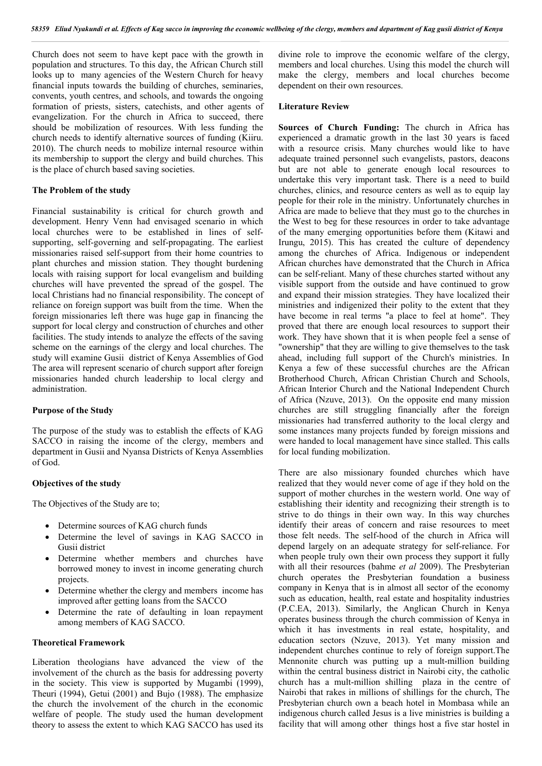Church does not seem to have kept pace with the growth in population and structures. To this day, the African Church still looks up to many agencies of the Western Church for heavy financial inputs towards the building of churches, seminaries, convents, youth centres, and schools, and towards the ongoing formation of priests, sisters, catechists, and other agents of evangelization. For the church in Africa to succeed, there should be mobilization of resources. With less funding the church needs to identify alternative sources of funding (Kiiru. 2010). The church needs to mobilize internal resource within its membership to support the clergy and build churches. This is the place of church based saving societies.

### **The Problem of the study**

Financial sustainability is critical for church growth and development. Henry Venn had envisaged scenario in which local churches were to be established in lines of selfsupporting, self-governing and self-propagating. The earliest missionaries raised self-support from their home countries to plant churches and mission station. They thought burdening locals with raising support for local evangelism and building churches will have prevented the spread of the gospel. The local Christians had no financial responsibility. The concept of reliance on foreign support was built from the time. When the foreign missionaries left there was huge gap in financing the support for local clergy and construction of churches and other facilities. The study intends to analyze the effects of the saving scheme on the earnings of the clergy and local churches. The study will examine Gusii district of Kenya Assemblies of God The area will represent scenario of church support after foreign missionaries handed church leadership to local clergy and administration.

#### **Purpose of the Study**

The purpose of the study was to establish the effects of KAG SACCO in raising the income of the clergy, members and department in Gusii and Nyansa Districts of Kenya Assemblies of God.

## **Objectives of the study**

The Objectives of the Study are to;

- Determine sources of KAG church funds
- Determine the level of savings in KAG SACCO in Gusii district
- Determine whether members and churches have borrowed money to invest in income generating church projects.
- Determine whether the clergy and members income has improved after getting loans from the SACCO
- Determine the rate of defaulting in loan repayment among members of KAG SACCO.

## **Theoretical Framework**

Liberation theologians have advanced the view of the involvement of the church as the basis for addressing poverty in the society. This view is supported by Mugambi (1999), Theuri (1994), Getui (2001) and Bujo (1988). The emphasize the church the involvement of the church in the economic welfare of people. The study used the human development theory to assess the extent to which KAG SACCO has used its

divine role to improve the economic welfare of the clergy, members and local churches. Using this model the church will make the clergy, members and local churches become dependent on their own resources.

#### **Literature Review**

**Sources of Church Funding:** The church in Africa has experienced a dramatic growth in the last 30 years is faced with a resource crisis. Many churches would like to have adequate trained personnel such evangelists, pastors, deacons but are not able to generate enough local resources to undertake this very important task. There is a need to build churches, clinics, and resource centers as well as to equip lay people for their role in the ministry. Unfortunately churches in Africa are made to believe that they must go to the churches in the West to beg for these resources in order to take advantage of the many emerging opportunities before them (Kitawi and Irungu, 2015). This has created the culture of dependency among the churches of Africa. Indigenous or independent African churches have demonstrated that the Church in Africa can be self-reliant. Many of these churches started without any visible support from the outside and have continued to grow and expand their mission strategies. They have localized their ministries and indigenized their polity to the extent that they have become in real terms "a place to feel at home". They proved that there are enough local resources to support their work. They have shown that it is when people feel a sense of "ownership" that they are willing to give themselves to the task ahead, including full support of the Church's ministries. In Kenya a few of these successful churches are the African Brotherhood Church, African Christian Church and Schools, African Interior Church and the National Independent Church of Africa (Nzuve, 2013). On the opposite end many mission churches are still struggling financially after the foreign missionaries had transferred authority to the local clergy and some instances many projects funded by foreign missions and were handed to local management have since stalled. This calls for local funding mobilization.

There are also missionary founded churches which have realized that they would never come of age if they hold on the support of mother churches in the western world. One way of establishing their identity and recognizing their strength is to strive to do things in their own way. In this way churches identify their areas of concern and raise resources to meet those felt needs. The self-hood of the church in Africa will depend largely on an adequate strategy for self-reliance. For when people truly own their own process they support it fully with all their resources (bahme *et al* 2009). The Presbyterian church operates the Presbyterian foundation a business company in Kenya that is in almost all sector of the economy such as education, health, real estate and hospitality industries (P.C.EA, 2013). Similarly, the Anglican Church in Kenya operates business through the church commission of Kenya in which it has investments in real estate, hospitality, and education sectors (Nzuve, 2013). Yet many mission and independent churches continue to rely of foreign support.The Mennonite church was putting up a mult-million building within the central business district in Nairobi city, the catholic church has a mult-million shilling plaza in the centre of Nairobi that rakes in millions of shillings for the church, The Presbyterian church own a beach hotel in Mombasa while an indigenous church called Jesus is a live ministries is building a facility that will among other things host a five star hostel in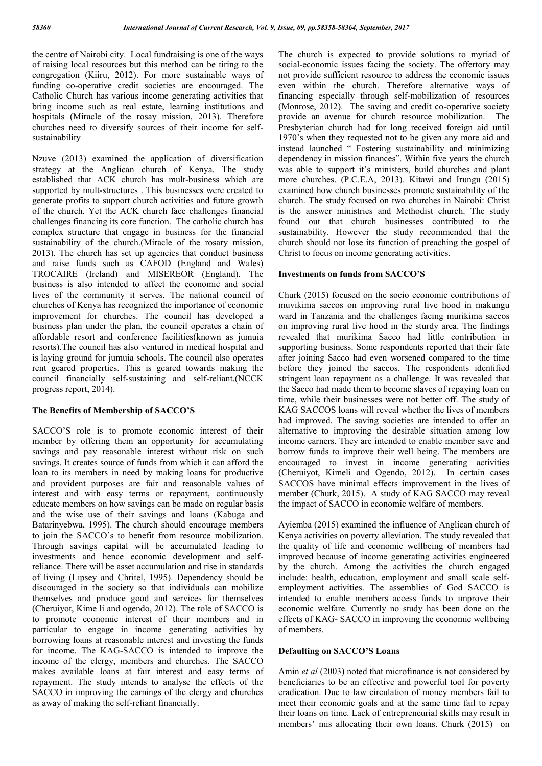the centre of Nairobi city. Local fundraising is one of the ways of raising local resources but this method can be tiring to the congregation (Kiiru, 2012). For more sustainable ways of funding co-operative credit societies are encouraged. The Catholic Church has various income generating activities that bring income such as real estate, learning institutions and hospitals (Miracle of the rosay mission, 2013). Therefore churches need to diversify sources of their income for selfsustainability

Nzuve (2013) examined the application of diversification strategy at the Anglican church of Kenya. The study established that ACK church has mult-business which are supported by mult-structures . This businesses were created to generate profits to support church activities and future growth of the church. Yet the ACK church face challenges financial challenges financing its core function. The catholic church has complex structure that engage in business for the financial sustainability of the church.(Miracle of the rosary mission, 2013). The church has set up agencies that conduct business and raise funds such as CAFOD (England and Wales) TROCAIRE (Ireland) and MISEREOR (England). The business is also intended to affect the economic and social lives of the community it serves. The national council of churches of Kenya has recognized the importance of economic improvement for churches. The council has developed a business plan under the plan, the council operates a chain of affordable resort and conference facilities(known as jumuia resorts).The council has also ventured in medical hospital and is laying ground for jumuia schools. The council also operates rent geared properties. This is geared towards making the council financially self-sustaining and self-reliant.(NCCK progress report, 2014).

### **The Benefits of Membership of SACCO'S**

SACCO'S role is to promote economic interest of their member by offering them an opportunity for accumulating savings and pay reasonable interest without risk on such savings. It creates source of funds from which it can afford the loan to its members in need by making loans for productive and provident purposes are fair and reasonable values of interest and with easy terms or repayment, continuously educate members on how savings can be made on regular basis and the wise use of their savings and loans (Kabuga and Batarinyebwa, 1995). The church should encourage members to join the SACCO's to benefit from resource mobilization. Through savings capital will be accumulated leading to investments and hence economic development and selfreliance. There will be asset accumulation and rise in standards of living (Lipsey and Chritel, 1995). Dependency should be discouraged in the society so that individuals can mobilize themselves and produce good and services for themselves (Cheruiyot, Kime li and ogendo, 2012). The role of SACCO is to promote economic interest of their members and in particular to engage in income generating activities by borrowing loans at reasonable interest and investing the funds for income. The KAG-SACCO is intended to improve the income of the clergy, members and churches. The SACCO makes available loans at fair interest and easy terms of repayment. The study intends to analyse the effects of the SACCO in improving the earnings of the clergy and churches as away of making the self-reliant financially.

The church is expected to provide solutions to myriad of social-economic issues facing the society. The offertory may not provide sufficient resource to address the economic issues even within the church. Therefore alternative ways of financing especially through self-mobilization of resources (Monrose, 2012). The saving and credit co-operative society provide an avenue for church resource mobilization. The Presbyterian church had for long received foreign aid until 1970's when they requested not to be given any more aid and instead launched " Fostering sustainability and minimizing dependency in mission finances". Within five years the church was able to support it's ministers, build churches and plant more churches. (P.C.E.A, 2013). Kitawi and Irungu (2015) examined how church businesses promote sustainability of the church. The study focused on two churches in Nairobi: Christ is the answer ministries and Methodist church. The study found out that church businesses contributed to the sustainability. However the study recommended that the church should not lose its function of preaching the gospel of Christ to focus on income generating activities.

## **Investments on funds from SACCO'S**

Churk (2015) focused on the socio economic contributions of muvikima saccos on improving rural live hood in makungu ward in Tanzania and the challenges facing murikima saccos on improving rural live hood in the sturdy area. The findings revealed that murikima Sacco had little contribution in supporting business. Some respondents reported that their fate after joining Sacco had even worsened compared to the time before they joined the saccos. The respondents identified stringent loan repayment as a challenge. It was revealed that the Sacco had made them to become slaves of repaying loan on time, while their businesses were not better off. The study of KAG SACCOS loans will reveal whether the lives of members had improved. The saving societies are intended to offer an alternative to improving the desirable situation among low income earners. They are intended to enable member save and borrow funds to improve their well being. The members are encouraged to invest in income generating activities (Cheruiyot, Kimeli and Ogendo, 2012). In certain cases SACCOS have minimal effects improvement in the lives of member (Churk, 2015). A study of KAG SACCO may reveal the impact of SACCO in economic welfare of members.

Ayiemba (2015) examined the influence of Anglican church of Kenya activities on poverty alleviation. The study revealed that the quality of life and economic wellbeing of members had improved because of income generating activities engineered by the church. Among the activities the church engaged include: health, education, employment and small scale selfemployment activities. The assemblies of God SACCO is intended to enable members access funds to improve their economic welfare. Currently no study has been done on the effects of KAG- SACCO in improving the economic wellbeing of members.

### **Defaulting on SACCO'S Loans**

Amin *et al* (2003) noted that microfinance is not considered by beneficiaries to be an effective and powerful tool for poverty eradication. Due to law circulation of money members fail to meet their economic goals and at the same time fail to repay their loans on time. Lack of entrepreneurial skills may result in members' mis allocating their own loans. Churk (2015) on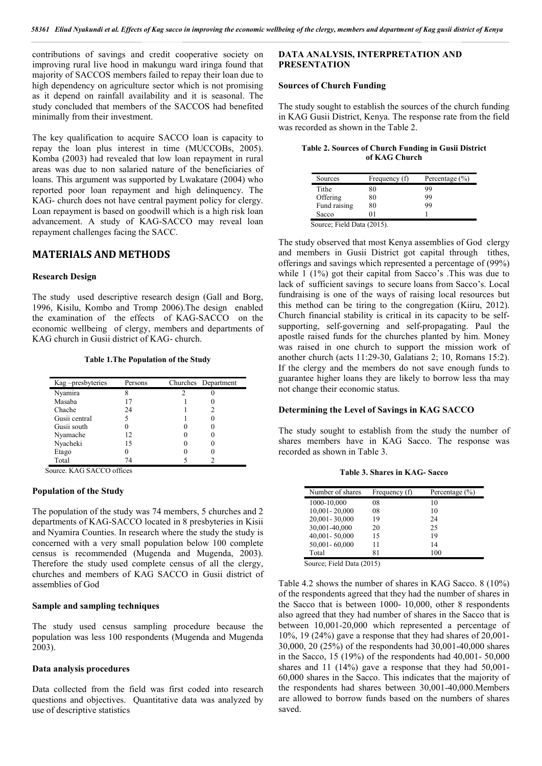contributions of savings and credit cooperative society on improving rural live hood in makungu ward iringa found that majority of SACCOS members failed to repay their loan due to high dependency on agriculture sector which is not promising as it depend on rainfall availability and it is seasonal. The study concluded that members of the SACCOS had benefited minimally from their investment.

The key qualification to acquire SACCO loan is capacity to repay the loan plus interest in time (MUCCOBs, 2005). Komba (2003) had revealed that low loan repayment in rural areas was due to non salaried nature of the beneficiaries of loans. This argument was supported by Lwakatare (2004) who reported poor loan repayment and high delinquency. The KAG- church does not have central payment policy for clergy. Loan repayment is based on goodwill which is a high risk loan advancement. A study of KAG-SACCO may reveal loan repayment challenges facing the SACC.

# **MATERIALS AND METHODS**

### **Research Design**

The study used descriptive research design (Gall and Borg, 1996, Kisilu, Kombo and Tromp 2006).The design enabled the examination of the effects of KAG-SACCO on the economic wellbeing of clergy, members and departments of KAG church in Gusii district of KAG- church.

#### **Table 1.The Population of the Study**

| Kag-presbyteries | Persons | Churches Department |
|------------------|---------|---------------------|
| Nyamira          |         |                     |
| Masaba           |         |                     |
| Chache           | 24      |                     |
| Gusii central    |         |                     |
| Gusii south      |         |                     |
| Nyamache         | 12      |                     |
| Nyacheki         | 15      |                     |
| Etago            |         |                     |
| Total            | 74      |                     |

Source. KAG SACCO offices

#### **Population of the Study**

The population of the study was 74 members, 5 churches and 2 departments of KAG-SACCO located in 8 presbyteries in Kisii and Nyamira Counties. In research where the study the study is concerned with a very small population below 100 complete census is recommended (Mugenda and Mugenda, 2003). Therefore the study used complete census of all the clergy, churches and members of KAG SACCO in Gusii district of assemblies of God

## **Sample and sampling techniques**

The study used census sampling procedure because the population was less 100 respondents (Mugenda and Mugenda 2003).

## **Data analysis procedures**

Data collected from the field was first coded into research questions and objectives. Quantitative data was analyzed by use of descriptive statistics

# **DATA ANALYSIS, INTERPRETATION AND PRESENTATION**

#### **Sources of Church Funding**

The study sought to establish the sources of the church funding in KAG Gusii District, Kenya. The response rate from the field was recorded as shown in the Table 2.

| Table 2. Sources of Church Funding in Gusii District |               |  |
|------------------------------------------------------|---------------|--|
|                                                      | of KAG Church |  |

| Frequency (f) | Percentage $(\% )$ |
|---------------|--------------------|
| 80            | 99                 |
| 80            | 99                 |
| 80            | 99                 |
| 01            |                    |
|               |                    |

Source; Field Data (2015).

The study observed that most Kenya assemblies of God clergy and members in Gusii District got capital through tithes, offerings and savings which represented a percentage of (99%) while 1 (1%) got their capital from Sacco's .This was due to lack of sufficient savings to secure loans from Sacco's. Local fundraising is one of the ways of raising local resources but this method can be tiring to the congregation (Kiiru, 2012). Church financial stability is critical in its capacity to be selfsupporting, self-governing and self-propagating. Paul the apostle raised funds for the churches planted by him. Money was raised in one church to support the mission work of another church (acts 11:29-30, Galatians 2; 10, Romans 15:2). If the clergy and the members do not save enough funds to guarantee higher loans they are likely to borrow less tha may not change their economic status.

### **Determining the Level of Savings in KAG SACCO**

The study sought to establish from the study the number of shares members have in KAG Sacco. The response was recorded as shown in Table 3.

| <b>Table 3. Shares in KAG-Sacco</b> |  |  |  |
|-------------------------------------|--|--|--|
|-------------------------------------|--|--|--|

| Number of shares | Frequency (f) | Percentage $(\% )$ |
|------------------|---------------|--------------------|
| 1000-10,000      | 08            | 10                 |
| 10,001-20,000    | 08            | 10                 |
| 20,001-30,000    | 19            | 24                 |
| 30,001-40,000    | 20            | 25                 |
| 40,001-50,000    | 15            | 19                 |
| 50,001-60,000    | 11            | 14                 |
| Total            | 81            | 100                |

Source; Field Data (2015)

Table 4.2 shows the number of shares in KAG Sacco. 8 (10%) of the respondents agreed that they had the number of shares in the Sacco that is between 1000- 10,000, other 8 respondents also agreed that they had number of shares in the Sacco that is between 10,001-20,000 which represented a percentage of  $10\%$ , 19 (24%) gave a response that they had shares of 20,001-30,000, 20 (25%) of the respondents had 30,001-40,000 shares in the Sacco, 15 (19%) of the respondents had 40,001- 50,000 shares and 11 (14%) gave a response that they had 50,001- 60,000 shares in the Sacco. This indicates that the majority of the respondents had shares between 30,001-40,000.Members are allowed to borrow funds based on the numbers of shares saved.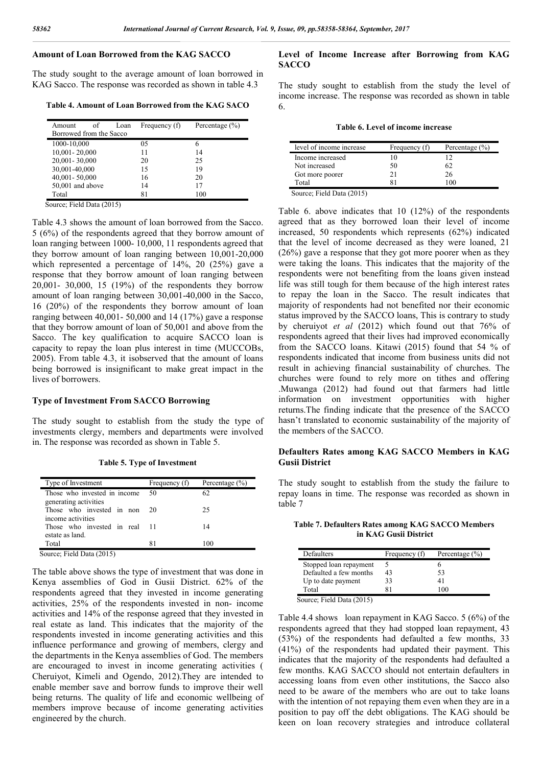# **Amount of Loan Borrowed from the KAG SACCO**

The study sought to the average amount of loan borrowed in KAG Sacco. The response was recorded as shown in table 4.3

**Table 4. Amount of Loan Borrowed from the KAG SACO**

| of<br>Amount            | Loan | Frequency (f) | Percentage $(\% )$ |
|-------------------------|------|---------------|--------------------|
| Borrowed from the Sacco |      |               |                    |
| 1000-10,000             |      | 05            | 6                  |
| 10,001-20,000           |      | 11            | 14                 |
| 20,001-30,000           |      | 20            | 25                 |
| 30,001-40,000           |      | 15            | 19                 |
| 40,001-50,000           |      | 16            | 20                 |
| 50,001 and above        |      | 14            | 17                 |
| Total                   |      | 81            | 100                |

Source; Field Data (2015)

Table 4.3 shows the amount of loan borrowed from the Sacco. 5 (6%) of the respondents agreed that they borrow amount of loan ranging between 1000- 10,000, 11 respondents agreed that they borrow amount of loan ranging between 10,001-20,000 which represented a percentage of 14%, 20 (25%) gave a response that they borrow amount of loan ranging between 20,001- 30,000, 15 (19%) of the respondents they borrow amount of loan ranging between 30,001-40,000 in the Sacco, 16 (20%) of the respondents they borrow amount of loan ranging between 40,001- 50,000 and 14 (17%) gave a response that they borrow amount of loan of 50,001 and above from the Sacco. The key qualification to acquire SACCO loan is capacity to repay the loan plus interest in time (MUCCOBs, 2005). From table 4.3, it isobserved that the amount of loans being borrowed is insignificant to make great impact in the lives of borrowers.

# **Type of Investment From SACCO Borrowing**

The study sought to establish from the study the type of investments clergy, members and departments were involved in. The response was recorded as shown in Table 5.

**Table 5. Type of Investment**

| Type of Investment                                    | Frequency (f) | Percentage $(\% )$ |
|-------------------------------------------------------|---------------|--------------------|
| Those who invested in income<br>generating activities | 50            | 62                 |
| Those who invested in non<br>income activities        | 20            | 25                 |
| Those who invested in real 11<br>estate as land.      |               | 14                 |
| Total                                                 | 81            | 100                |

The table above shows the type of investment that was done in Kenya assemblies of God in Gusii District. 62% of the respondents agreed that they invested in income generating activities, 25% of the respondents invested in non- income activities and 14% of the response agreed that they invested in real estate as land. This indicates that the majority of the respondents invested in income generating activities and this influence performance and growing of members, clergy and the departments in the Kenya assemblies of God. The members are encouraged to invest in income generating activities ( Cheruiyot, Kimeli and Ogendo, 2012).They are intended to enable member save and borrow funds to improve their well being returns. The quality of life and economic wellbeing of members improve because of income generating activities engineered by the church.

## **Level of Income Increase after Borrowing from KAG SACCO**

The study sought to establish from the study the level of income increase. The response was recorded as shown in table 6.

| level of income increase | Frequency (f) | Percentage $(\% )$ |
|--------------------------|---------------|--------------------|
| Income increased         |               |                    |
| Not increased            | 50            | 62                 |
| Got more poorer          |               | 26                 |
| Total                    |               | 100                |

Source; Field Data (2015)

Table 6. above indicates that 10 (12%) of the respondents agreed that as they borrowed loan their level of income increased, 50 respondents which represents (62%) indicated that the level of income decreased as they were loaned, 21 (26%) gave a response that they got more poorer when as they were taking the loans. This indicates that the majority of the respondents were not benefiting from the loans given instead life was still tough for them because of the high interest rates to repay the loan in the Sacco. The result indicates that majority of respondents had not benefited nor their economic status improved by the SACCO loans, This is contrary to study by cheruiyot *et al* (2012) which found out that 76% of respondents agreed that their lives had improved economically from the SACCO loans. Kitawi (2015) found that 54 % of respondents indicated that income from business units did not result in achieving financial sustainability of churches. The churches were found to rely more on tithes and offering .Muwanga (2012) had found out that farmers had little information on investment opportunities with higher returns.The finding indicate that the presence of the SACCO hasn't translated to economic sustainability of the majority of the members of the SACCO.

## **Defaulters Rates among KAG SACCO Members in KAG Gusii District**

The study sought to establish from the study the failure to repay loans in time. The response was recorded as shown in table 7

**Table 7. Defaulters Rates among KAG SACCO Members in KAG Gusii District**

| Defaulters                | Frequency (f) | Percentage $(\% )$ |
|---------------------------|---------------|--------------------|
| Stopped loan repayment    |               |                    |
| Defaulted a few months    | 43            | 53                 |
| Up to date payment        | 33            | 41                 |
| Total                     |               | 100                |
| Source: Field Data (2015) |               |                    |

Table 4.4 shows loan repayment in KAG Sacco. 5 (6%) of the respondents agreed that they had stopped loan repayment, 43 (53%) of the respondents had defaulted a few months, 33 (41%) of the respondents had updated their payment. This indicates that the majority of the respondents had defaulted a few months. KAG SACCO should not entertain defaulters in accessing loans from even other institutions, the Sacco also need to be aware of the members who are out to take loans with the intention of not repaying them even when they are in a position to pay off the debt obligations. The KAG should be keen on loan recovery strategies and introduce collateral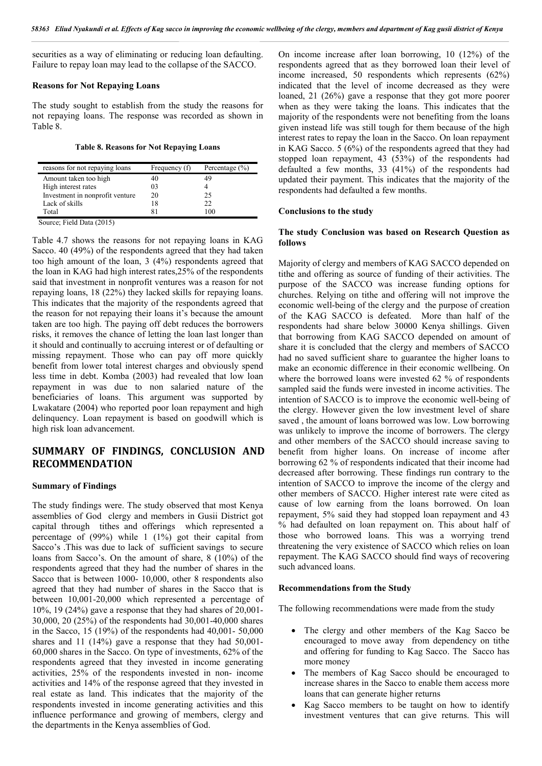securities as a way of eliminating or reducing loan defaulting. Failure to repay loan may lead to the collapse of the SACCO.

#### **Reasons for Not Repaying Loans**

The study sought to establish from the study the reasons for not repaying loans. The response was recorded as shown in Table 8.

#### **Table 8. Reasons for Not Repaying Loans**

| reasons for not repaying loans  | Frequency (f) | Percentage $(\% )$ |
|---------------------------------|---------------|--------------------|
| Amount taken too high           | 40            |                    |
| High interest rates             | 03            |                    |
| Investment in nonprofit venture | 20            | 25                 |
| Lack of skills                  | 18            | 22                 |
| Total                           |               | -00                |

Source; Field Data (2015)

Table 4.7 shows the reasons for not repaying loans in KAG Sacco. 40 (49%) of the respondents agreed that they had taken too high amount of the loan, 3 (4%) respondents agreed that the loan in KAG had high interest rates,25% of the respondents said that investment in nonprofit ventures was a reason for not repaying loans, 18 (22%) they lacked skills for repaying loans. This indicates that the majority of the respondents agreed that the reason for not repaying their loans it's because the amount taken are too high. The paying off debt reduces the borrowers risks, it removes the chance of letting the loan last longer than it should and continually to accruing interest or of defaulting or missing repayment. Those who can pay off more quickly benefit from lower total interest charges and obviously spend less time in debt. Komba (2003) had revealed that low loan repayment in was due to non salaried nature of the beneficiaries of loans. This argument was supported by Lwakatare (2004) who reported poor loan repayment and high delinquency. Loan repayment is based on goodwill which is high risk loan advancement.

# **SUMMARY OF FINDINGS, CONCLUSION AND RECOMMENDATION**

#### **Summary of Findings**

The study findings were. The study observed that most Kenya assemblies of God clergy and members in Gusii District got capital through tithes and offerings which represented a percentage of (99%) while 1 (1%) got their capital from Sacco's .This was due to lack of sufficient savings to secure loans from Sacco's. On the amount of share, 8 (10%) of the respondents agreed that they had the number of shares in the Sacco that is between 1000- 10,000, other 8 respondents also agreed that they had number of shares in the Sacco that is between 10,001-20,000 which represented a percentage of  $10\%$ , 19 (24%) gave a response that they had shares of 20,001-30,000, 20 (25%) of the respondents had 30,001-40,000 shares in the Sacco, 15 (19%) of the respondents had 40,001- 50,000 shares and 11 (14%) gave a response that they had 50,001- 60,000 shares in the Sacco. On type of investments, 62% of the respondents agreed that they invested in income generating activities, 25% of the respondents invested in non- income activities and 14% of the response agreed that they invested in real estate as land. This indicates that the majority of the respondents invested in income generating activities and this influence performance and growing of members, clergy and the departments in the Kenya assemblies of God.

On income increase after loan borrowing, 10 (12%) of the respondents agreed that as they borrowed loan their level of income increased, 50 respondents which represents (62%) indicated that the level of income decreased as they were loaned, 21 (26%) gave a response that they got more poorer when as they were taking the loans. This indicates that the majority of the respondents were not benefiting from the loans given instead life was still tough for them because of the high interest rates to repay the loan in the Sacco. On loan repayment in KAG Sacco. 5 (6%) of the respondents agreed that they had stopped loan repayment, 43 (53%) of the respondents had defaulted a few months, 33 (41%) of the respondents had updated their payment. This indicates that the majority of the respondents had defaulted a few months.

#### **Conclusions to the study**

### **The study Conclusion was based on Research Question as follows**

Majority of clergy and members of KAG SACCO depended on tithe and offering as source of funding of their activities. The purpose of the SACCO was increase funding options for churches. Relying on tithe and offering will not improve the economic well-being of the clergy and the purpose of creation of the KAG SACCO is defeated. More than half of the respondents had share below 30000 Kenya shillings. Given that borrowing from KAG SACCO depended on amount of share it is concluded that the clergy and members of SACCO had no saved sufficient share to guarantee the higher loans to make an economic difference in their economic wellbeing. On where the borrowed loans were invested 62 % of respondents sampled said the funds were invested in income activities. The intention of SACCO is to improve the economic well-being of the clergy. However given the low investment level of share saved , the amount of loans borrowed was low. Low borrowing was unlikely to improve the income of borrowers. The clergy and other members of the SACCO should increase saving to benefit from higher loans. On increase of income after borrowing 62 % of respondents indicated that their income had decreased after borrowing. These findings run contrary to the intention of SACCO to improve the income of the clergy and other members of SACCO. Higher interest rate were cited as cause of low earning from the loans borrowed. On loan repayment, 5% said they had stopped loan repayment and 43 % had defaulted on loan repayment on. This about half of those who borrowed loans. This was a worrying trend threatening the very existence of SACCO which relies on loan repayment. The KAG SACCO should find ways of recovering such advanced loans.

#### **Recommendations from the Study**

The following recommendations were made from the study

- The clergy and other members of the Kag Sacco be encouraged to move away from dependency on tithe and offering for funding to Kag Sacco. The Sacco has more money
- The members of Kag Sacco should be encouraged to increase shares in the Sacco to enable them access more loans that can generate higher returns
- Kag Sacco members to be taught on how to identify investment ventures that can give returns. This will